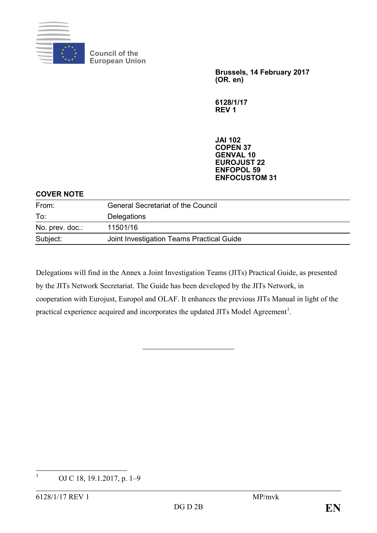

**Council of the European Union**

> **Brussels, 14 February 2017 (OR. en)**

**6128/1/17 REV 1**

**JAI 102 COPEN 37 GENVAL 10 EUROJUST 22 ENFOPOL 59 ENFOCUSTOM 31**

#### **COVER NOTE**

| From:           | <b>General Secretariat of the Council</b> |  |
|-----------------|-------------------------------------------|--|
| To:             | <b>Delegations</b>                        |  |
| No. prev. doc.: | 11501/16                                  |  |
| Subject:        | Joint Investigation Teams Practical Guide |  |

Delegations will find in the Annex a Joint Investigation Teams (JITs) Practical Guide, as presented by the JITs Network Secretariat. The Guide has been developed by the JITs Network, in cooperation with Eurojust, Europol and OLAF. It enhances the previous JITs Manual in light of the practical experience acquired and incorporates the updated JITs Model Agreement<sup>[1](#page-0-0)</sup>.

<span id="page-0-0"></span><sup>&</sup>lt;sup>1</sup> OJ C 18, 19.1.2017, p. 1–9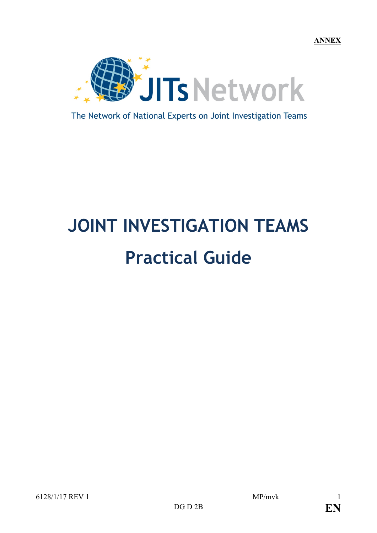**ANNEX**



The Network of National Experts on Joint Investigation Teams

# **JOINT INVESTIGATION TEAMS Practical Guide**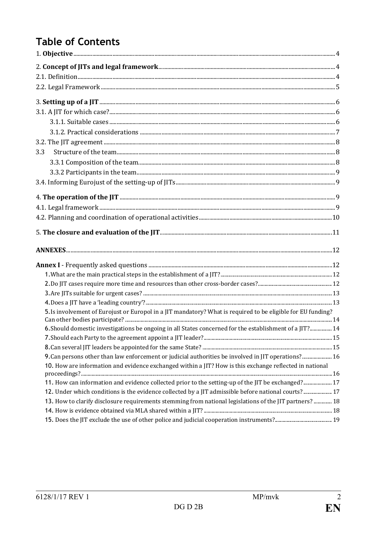## **Table of Contents**

| 3.3                                                                                                          |  |
|--------------------------------------------------------------------------------------------------------------|--|
|                                                                                                              |  |
|                                                                                                              |  |
|                                                                                                              |  |
|                                                                                                              |  |
|                                                                                                              |  |
|                                                                                                              |  |
|                                                                                                              |  |
|                                                                                                              |  |
|                                                                                                              |  |
|                                                                                                              |  |
|                                                                                                              |  |
|                                                                                                              |  |
|                                                                                                              |  |
| 5. Is involvement of Eurojust or Europol in a JIT mandatory? What is required to be eligible for EU funding? |  |
|                                                                                                              |  |
| 6. Should domestic investigations be ongoing in all States concerned for the establishment of a JIT? 14      |  |
|                                                                                                              |  |
| 9. Can persons other than law enforcement or judicial authorities be involved in JIT operations? 16          |  |
| 10. How are information and evidence exchanged within a JIT? How is this exchange reflected in national      |  |
|                                                                                                              |  |
| 11. How can information and evidence collected prior to the setting-up of the JIT be exchanged? 17           |  |
| 17. Under which conditions is the evidence collected by a JIT admissible before national courts? 17          |  |
| 13. How to clarify disclosure requirements stemming from national legislations of the JIT partners?  18      |  |
|                                                                                                              |  |
|                                                                                                              |  |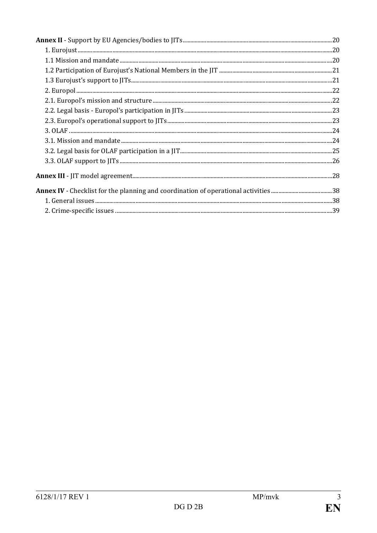| $\begin{minipage}[c]{0.9\linewidth} \textbf{1.} \textbf{ Eurojust} \textbf{} \textbf{} \textbf{} \textbf{} \textbf{} \textbf{} \textbf{} \textbf{} \textbf{} \textbf{} \textbf{} \textbf{} \textbf{} \textbf{} \textbf{} \textbf{} \textbf{} \textbf{} \textbf{} \textbf{} \textbf{} \textbf{} \textbf{} \textbf{} \textbf{} \textbf{} \textbf{} \textbf{} \textbf{} \textbf{} \textbf{} \textbf{$ |  |
|----------------------------------------------------------------------------------------------------------------------------------------------------------------------------------------------------------------------------------------------------------------------------------------------------------------------------------------------------------------------------------------------------|--|
|                                                                                                                                                                                                                                                                                                                                                                                                    |  |
|                                                                                                                                                                                                                                                                                                                                                                                                    |  |
|                                                                                                                                                                                                                                                                                                                                                                                                    |  |
|                                                                                                                                                                                                                                                                                                                                                                                                    |  |
|                                                                                                                                                                                                                                                                                                                                                                                                    |  |
|                                                                                                                                                                                                                                                                                                                                                                                                    |  |
|                                                                                                                                                                                                                                                                                                                                                                                                    |  |
|                                                                                                                                                                                                                                                                                                                                                                                                    |  |
|                                                                                                                                                                                                                                                                                                                                                                                                    |  |
|                                                                                                                                                                                                                                                                                                                                                                                                    |  |
|                                                                                                                                                                                                                                                                                                                                                                                                    |  |
|                                                                                                                                                                                                                                                                                                                                                                                                    |  |
|                                                                                                                                                                                                                                                                                                                                                                                                    |  |
|                                                                                                                                                                                                                                                                                                                                                                                                    |  |
|                                                                                                                                                                                                                                                                                                                                                                                                    |  |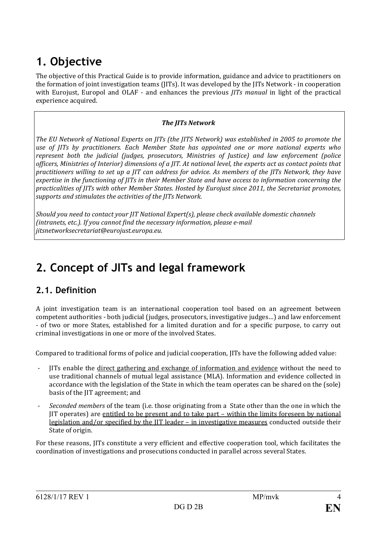## **1. Objective**

The objective of this Practical Guide is to provide information, guidance and advice to practitioners on the formation of joint investigation teams (JITs). It was developed by the JITs Network - in cooperation with Eurojust, Europol and OLAF - and enhances the previous *JITs manual* in light of the practical experience acquired.

#### *The JITs Network*

*The EU Network of National Experts on JITs (the JITS Network) was established in 2005 to promote the use of JITs by practitioners. Each Member State has appointed one or more national experts who represent both the judicial (judges, prosecutors, Ministries of Justice) and law enforcement (police officers, Ministries of Interior) dimensions of a JIT. At national level, the experts act as contact points that practitioners willing to set up a JIT can address for advice. As members of the JITs Network, they have expertise in the functioning of JITs in their Member State and have access to information concerning the practicalities of JITs with other Member States. Hosted by Eurojust since 2011, the Secretariat promotes, supports and stimulates the activities of the JITs Network.*

*Should you need to contact your JIT National Expert(s), please check available domestic channels (intranets, etc.). If you cannot find the necessary information, please e-mail jitsnetworksecretariat@eurojust.europa.eu.* 

## **2. Concept of JITs and legal framework**

## **2.1. Definition**

A joint investigation team is an international cooperation tool based on an agreement between competent authorities - both judicial (judges, prosecutors, investigative judges…) and law enforcement - of two or more States, established for a limited duration and for a specific purpose, to carry out criminal investigations in one or more of the involved States.

Compared to traditional forms of police and judicial cooperation, JITs have the following added value:

- JITs enable the direct gathering and exchange of information and evidence without the need to use traditional channels of mutual legal assistance (MLA). Information and evidence collected in accordance with the legislation of the State in which the team operates can be shared on the (sole) basis of the JIT agreement; and
- *Seconded members* of the team (i.e. those originating from a State other than the one in which the JIT operates) are entitled to be present and to take part – within the limits foreseen by national legislation and/or specified by the JIT leader – in investigative measures conducted outside their State of origin.

For these reasons, JITs constitute a very efficient and effective cooperation tool, which facilitates the coordination of investigations and prosecutions conducted in parallel across several States.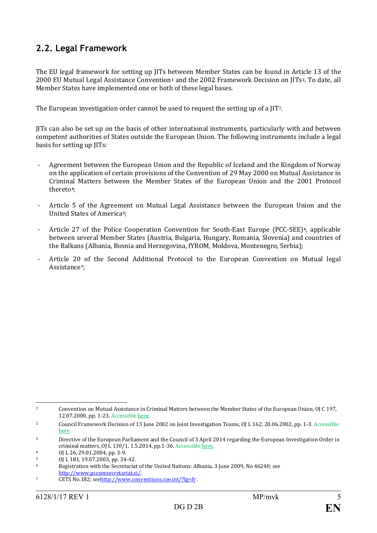## **2.2. Legal Framework**

The EU legal framework for setting up JITs between Member States can be found in Article 13 of the 2000 EU Mutual Legal Assistance Convention**[1](#page-5-0)** and the 2002 Framework Decision on JITs**[2](#page-5-1)**. To date, all Member States have implemented one or both of these legal bases.

The European investigation order cannot be used to request the setting up of a JIT[3](#page-5-2).

JITs can also be set up on the basis of other international instruments, particularly with and between competent authorities of States outside the European Union. The following instruments include a legal basis for setting up JITs:

- Agreement between the European Union and the Republic of Iceland and the Kingdom of Norway on the application of certain provisions of the Convention of 29 May 2000 on Mutual Assistance in Criminal Matters between the Member States of the European Union and the 2001 Protocol thereto**[4](#page-5-3)**;
- Article 5 of the Agreement on Mutual Legal Assistance between the European Union and the United States of America**[5](#page-5-4)**;
- Article 27 of the Police Cooperation Convention for South-East Europe (PCC-SEE)**[6](#page-5-5)**, applicable between several Member States (Austria, Bulgaria, Hungary, Romania, Slovenia) and countries of the Balkans (Albania, Bosnia and Herzegovina, fYROM, Moldova, Montenegro, Serbia);
- Article 20 of the Second Additional Protocol to the European Convention on Mutual legal Assistance**[7](#page-5-6)**;

<span id="page-5-0"></span> <sup>1</sup> Convention on Mutual Assistance in Criminal Matters between the Member States of the European Union, OJ C 197, 12.07.2000, pp. 1-23. Accessibl[e here.](http://www.eurojust.europa.eu/doclibrary/JITs/JITs%20framework/2000%20EU%20Mutual%20Legal%20Assistance%20Convention/CAonMLA-2000-05-29-EN.pdf)

<span id="page-5-1"></span><sup>2</sup> Council Framework Decision of 13 June 2002 on Joint Investigation Teams, OJ L 162, 20.06.2002, pp. 1-3. Accessible [here.](http://www.eurojust.europa.eu/doclibrary/JITs/JITs%20framework/Framework%20Decision%202002-465-JHA%20on%20JITs/CFDonJITs-2002-06-13-EN.pdf)

<span id="page-5-2"></span><sup>3</sup> Directive of the European Parliament and the Council of 3 April 2014 regarding the European Investigation Order in criminal matters, OJ L 130/1, 1.5.2014, pp.1-36. Accessibl[e here.](http://eur-lex.europa.eu/legal-content/EN/TXT/PDF/?uri=CELEX:32014L0041&from=EN)

<span id="page-5-3"></span><sup>4</sup> OJ L 26, 29.01.2004, pp. 3-9.

<span id="page-5-4"></span> $5$  OJ L 181, 19.07.2003, pp. 34-42.

<span id="page-5-5"></span><sup>6</sup> Registration with the Secretariat of the United Nations: Albania, 3 June 2009, No 46240; *see* [http://www.pccseesecretariat.si/.](http://www.pccseesecretariat.si/)

<span id="page-5-6"></span><sup>7</sup> CETS No.182; *see*<http://www.conventions.coe.int/?lg=fr> .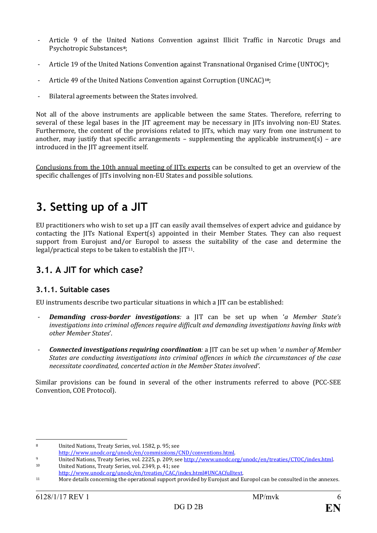- Article 9 of the United Nations Convention against Illicit Traffic in Narcotic Drugs and Psychotropic Substances**[8](#page-6-0)**;
- Article 19 of the United Nations Convention against Transnational Organised Crime (UNTOC)**[9](#page-6-1)**;
- Article 49 of the United Nations Convention against Corruption (UNCAC)**[10](#page-6-2)**;
- Bilateral agreements between the States involved.

Not all of the above instruments are applicable between the same States. Therefore, referring to several of these legal bases in the JIT agreement may be necessary in JITs involving non-EU States. Furthermore, the content of the provisions related to JITs, which may vary from one instrument to another, may justify that specific arrangements – supplementing the applicable instrument(s) – are introduced in the JIT agreement itself.

Conclusions from the 10th annual meeting of JITs experts can be consulted to get an overview of the specific challenges of JITs involving non-EU States and possible solutions.

## **3. Setting up of a JIT**

EU practitioners who wish to set up a JIT can easily avail themselves of expert advice and guidance by contacting the JITs National Expert(s) appointed in their Member States. They can also request support from Eurojust and/or Europol to assess the suitability of the case and determine the legal/practical steps to be taken to establish the  $[IT<sup>11</sup>]$ .

## **3.1. A JIT for which case?**

#### **3.1.1. Suitable cases**

EU instruments describe two particular situations in which a JIT can be established:

- *Demanding cross-border investigations:* a JIT can be set up when '*a Member State's investigations into criminal offences require difficult and demanding investigations having links with other Member States*'.
- *Connected investigations requiring coordination:* a JIT can be set up when '*a number of Member States are conducting investigations into criminal offences in which the circumstances of the case necessitate coordinated, concerted action in the Member States involved'*.

Similar provisions can be found in several of the other instruments referred to above (PCC-SEE Convention, COE Protocol).

<span id="page-6-0"></span>

<sup>8</sup> United Nations, Treaty Series, vol. 1582, p. 95; see<br>http://www.unodc.org/unodc/en/commissions/CND/conventions.html.

<span id="page-6-1"></span><sup>&</sup>lt;sup>9</sup><br>United Nations, Treaty Series, vol. 2225, p. 209; see <u>http://www.unodc.org/unodc/en/treaties/CTOC/index.html</u><br>10 United Nations, Treaty Series, vol. 2349, p. 41; see<br>http://www.unodc.org/unodc/en/treaties/CAC/index.ht

<span id="page-6-2"></span>

<span id="page-6-3"></span> $h_1$  More details concerning the operational support provided by Eurojust and Europol can be consulted in the annexes.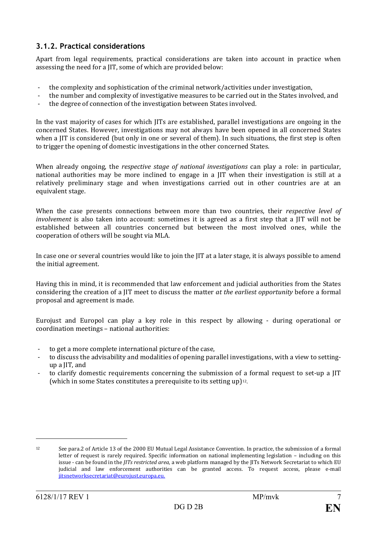### **3.1.2. Practical considerations**

Apart from legal requirements, practical considerations are taken into account in practice when assessing the need for a JIT, some of which are provided below:

- the complexity and sophistication of the criminal network/activities under investigation,
- the number and complexity of investigative measures to be carried out in the States involved, and<br>the degree of connection of the investigation between States involved
- the degree of connection of the investigation between States involved.

In the vast majority of cases for which JITs are established, parallel investigations are ongoing in the concerned States. However, investigations may not always have been opened in all concerned States when a JIT is considered (but only in one or several of them). In such situations, the first step is often to trigger the opening of domestic investigations in the other concerned States.

When already ongoing, the *respective stage of national investigations* can play a role: in particular, national authorities may be more inclined to engage in a JIT when their investigation is still at a relatively preliminary stage and when investigations carried out in other countries are at an equivalent stage.

When the case presents connections between more than two countries, their *respective level of involvement* is also taken into account: sometimes it is agreed as a first step that a JIT will not be established between all countries concerned but between the most involved ones, while the cooperation of others will be sought via MLA.

In case one or several countries would like to join the JIT at a later stage, it is always possible to amend the initial agreement.

Having this in mind, it is recommended that law enforcement and judicial authorities from the States considering the creation of a JIT meet to discuss the matter *at the earliest opportunity* before a formal proposal and agreement is made.

Eurojust and Europol can play a key role in this respect by allowing - during operational or coordination meetings – national authorities:

- to get a more complete international picture of the case,<br>- to discuss the advisability and modalities of opening par-
- to discuss the advisability and modalities of opening parallel investigations, with a view to settingup a JIT, and
- to clarify domestic requirements concerning the submission of [a](#page-7-0) formal request to set-up a JIT (which in some States constitutes a prerequisite to its setting up)12.

j

<span id="page-7-0"></span><sup>12</sup> See para.2 of Article 13 of the 2000 EU Mutual Legal Assistance Convention. In practice, the submission of a formal letter of request is rarely required. Specific information on national implementing legislation – including on this issue - can be found in the *JITs restricted area,* a web platform managed by the JITs Network Secretariat to which EU judicial and law enforcement authorities can be granted access. To request access, please e-mail [jitsnetworksecretariat@eurojust.europa.eu.](mailto:jitsnetworksecretariat@eurojust.europa.eu)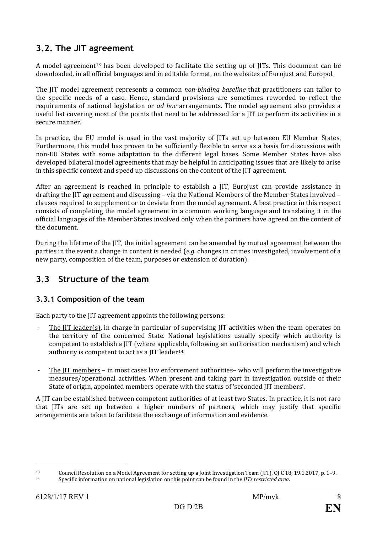## **3.2. The JIT agreement**

A model agreement<sup>[13](#page-8-0)</sup> has been developed to facilitate the setting up of JITs. This document can be downloaded, in all official languages and in editable format, on the websites of Eurojust and Europol.

The JIT model agreement represents a common *non-binding baseline* that practitioners can tailor to the specific needs of a case. Hence, standard provisions are sometimes reworded to reflect the requirements of national legislation or *ad hoc* arrangements. The model agreement also provides a useful list covering most of the points that need to be addressed for a JIT to perform its activities in a secure manner.

In practice, the EU model is used in the vast majority of JITs set up between EU Member States. Furthermore, this model has proven to be sufficiently flexible to serve as a basis for discussions with non-EU States with some adaptation to the different legal bases. Some Member States have also developed bilateral model agreements that may be helpful in anticipating issues that are likely to arise in this specific context and speed up discussions on the content of the JIT agreement.

After an agreement is reached in principle to establish a JIT, Eurojust can provide assistance in drafting the JIT agreement and discussing – via the National Members of the Member States involved – clauses required to supplement or to deviate from the model agreement. A best practice in this respect consists of completing the model agreement in a common working language and translating it in the official languages of the Member States involved only when the partners have agreed on the content of the document.

During the lifetime of the JIT, the initial agreement can be amended by mutual agreement between the parties in the event a change in content is needed (*e.g.* changes in crimes investigated, involvement of a new party, composition of the team, purposes or extension of duration).

## **3.3 Structure of the team**

#### **3.3.1 Composition of the team**

Each party to the JIT agreement appoints the following persons:

- The IIT leader(s), in charge in particular of supervising JIT activities when the team operates on the territory of the concerned State. National legislations usually specify which authority is competent to establish a JIT (where applicable, following an authorisation mechanism) and which authority is competent to act as a IIT leader<sup>[14.](#page-8-1)</sup>
- The JIT members in most cases law enforcement authorities– who will perform the investigative measures/operational activities. When present and taking part in investigation outside of their State of origin, appointed members operate with the status of 'seconded JIT members'.

A JIT can be established between competent authorities of at least two States. In practice, it is not rare that JITs are set up between a higher numbers of partners, which may justify that specific arrangements are taken to facilitate the exchange of information and evidence.

<sup>13</sup> Council Resolution on a Model Agreement for setting up a Joint Investigation Team (JIT), OJ C 18, 19.1.2017, p. 1–9.<br>14 Specific information on pational legislation on this point can be found in the *UTs restricted gre* 

<span id="page-8-1"></span><span id="page-8-0"></span><sup>14</sup> Specific information on national legislation on this point can be found in the *JITs restricted area*.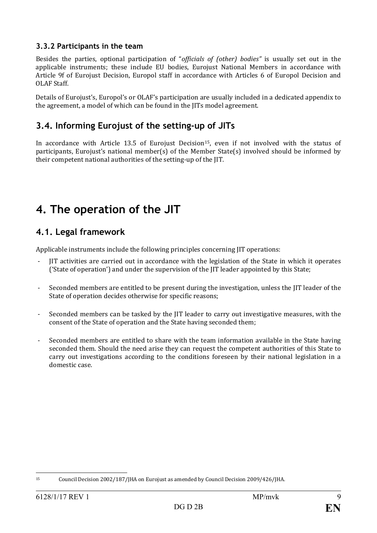### **3.3.2 Participants in the team**

Besides the parties, optional participation of "*officials of (other) bodies"* is usually set out in the applicable instruments; these include EU bodies, Eurojust National Members in accordance with Article 9f of Eurojust Decision, Europol staff in accordance with Articles 6 of Europol Decision and OLAF Staff.

Details of Eurojust's, Europol's or OLAF's participation are usually included in a dedicated appendix to the agreement, a model of which can be found in the JITs model agreement.

## **3.4. Informing Eurojust of the setting-up of JITs**

In accordance with Article 13.5 of Eurojust Decision<sup>[15](#page-9-0)</sup>, even if not involved with the status of participants, Eurojust's national member(s) of the Member State(s) involved should be informed by their competent national authorities of the setting-up of the JIT.

## **4. The operation of the JIT**

## **4.1. Legal framework**

Applicable instruments include the following principles concerning JIT operations:

- IIT activities are carried out in accordance with the legislation of the State in which it operates ('State of operation') and under the supervision of the JIT leader appointed by this State;
- Seconded members are entitled to be present during the investigation, unless the JIT leader of the State of operation decides otherwise for specific reasons;
- Seconded members can be tasked by the JIT leader to carry out investigative measures, with the consent of the State of operation and the State having seconded them;
- Seconded members are entitled to share with the team information available in the State having seconded them. Should the need arise they can request the competent authorities of this State to carry out investigations according to the conditions foreseen by their national legislation in a domestic case.

<span id="page-9-0"></span> <sup>15</sup> Council Decision 2002/187/JHA on Eurojust as amended by Council Decision 2009/426/JHA.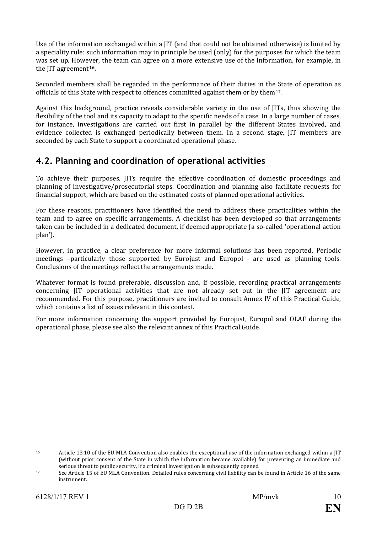Use of the information exchanged within a JIT (and that could not be obtained otherwise) is limited by a speciality rule: such information may in principle be used (only) for the purposes for which the team was set up. However, the team can agree on a more extensive use of the information, for example, in the JIT agreement**[16](#page-10-0)**.

Seconded members shall be regarded in the performance of their duties in the State of operation as officials of this State with respect to offences committed against them or by them[17](#page-10-1).

Against this background, practice reveals considerable variety in the use of JITs, thus showing the flexibility of the tool and its capacity to adapt to the specific needs of a case. In a large number of cases, for instance, investigations are carried out first in parallel by the different States involved, and evidence collected is exchanged periodically between them. In a second stage, JIT members are seconded by each State to support a coordinated operational phase.

## **4.2. Planning and coordination of operational activities**

To achieve their purposes, JITs require the effective coordination of domestic proceedings and planning of investigative/prosecutorial steps. Coordination and planning also facilitate requests for financial support, which are based on the estimated costs of planned operational activities.

For these reasons, practitioners have identified the need to address these practicalities within the team and to agree on specific arrangements. A checklist has been developed so that arrangements taken can be included in a dedicated document, if deemed appropriate (a so-called 'operational action plan').

However, in practice, a clear preference for more informal solutions has been reported. Periodic meetings –particularly those supported by Eurojust and Europol - are used as planning tools. Conclusions of the meetings reflect the arrangements made.

Whatever format is found preferable, discussion and, if possible, recording practical arrangements concerning JIT operational activities that are not already set out in the JIT agreement are recommended. For this purpose, practitioners are invited to consult Annex IV of this Practical Guide, which contains a list of issues relevant in this context.

For more information concerning the support provided by Eurojust, Europol and OLAF during the operational phase, please see also the relevant annex of this Practical Guide.

<span id="page-10-0"></span> <sup>16</sup> Article 13.10 of the EU MLA Convention also enables the exceptional use of the information exchanged within a JIT (without prior consent of the State in which the information became available) for preventing an immediate and serious threat to public security, if a criminal investigation is subsequently opened.

<span id="page-10-1"></span><sup>17</sup> See Article 15 of EU MLA Convention. Detailed rules concerning civil liability can be found in Article 16 of the same instrument.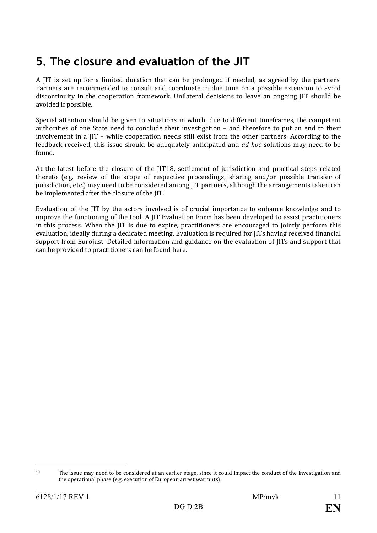## **5. The closure and evaluation of the JIT**

A JIT is set up for a limited duration that can be prolonged if needed, as agreed by the partners. Partners are recommended to consult and coordinate in due time on a possible extension to avoid discontinuity in the cooperation framework. Unilateral decisions to leave an ongoing JIT should be avoided if possible.

Special attention should be given to situations in which, due to different timeframes, the competent authorities of one State need to conclude their investigation – and therefore to put an end to their involvement in a JIT – while cooperation needs still exist from the other partners. According to the feedback received, this issue should be adequately anticipated and *ad hoc* solutions may need to be found.

At the latest before the closure of the JIT[18,](#page-11-0) settlement of jurisdiction and practical steps related thereto (e.g. review of the scope of respective proceedings, sharing and/or possible transfer of jurisdiction, etc.) may need to be considered among JIT partners, although the arrangements taken can be implemented after the closure of the JIT.

Evaluation of the JIT by the actors involved is of crucial importance to enhance knowledge and to improve the functioning of the tool. A JIT Evaluation Form has been developed to assist practitioners in this process. When the JIT is due to expire, practitioners are encouraged to jointly perform this evaluation, ideally during a dedicated meeting. Evaluation is required for JITs having received financial support from Eurojust. Detailed information and guidance on the evaluation of JITs and support that can be provided to practitioners can be found here.

<span id="page-11-0"></span><sup>&</sup>lt;sup>18</sup> The issue may need to be considered at an earlier stage, since it could impact the conduct of the investigation and the operational phase (e.g. execution of European arrest warrants).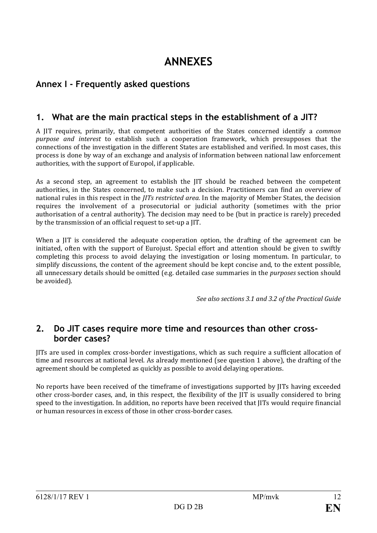## **ANNEXES**

## **Annex I - Frequently asked questions**

## **1. What are the main practical steps in the establishment of a JIT?**

A JIT requires, primarily, that competent authorities of the States concerned identify a *common purpose and interest* to establish such a cooperation framework, which presupposes that the connections of the investigation in the different States are established and verified. In most cases, this process is done by way of an exchange and analysis of information between national law enforcement authorities, with the support of Europol, if applicable.

As a second step, an agreement to establish the JIT should be reached between the competent authorities, in the States concerned, to make such a decision. Practitioners can find an overview of national rules in this respect in the *JITs restricted area.* In the majority of Member States, the decision requires the involvement of a prosecutorial or judicial authority (sometimes with the prior authorisation of a central authority). The decision may need to be (but in practice is rarely) preceded by the transmission of an official request to set-up a JIT.

When a JIT is considered the adequate cooperation option, the drafting of the agreement can be initiated, often with the support of Eurojust. Special effort and attention should be given to swiftly completing this process to avoid delaying the investigation or losing momentum. In particular, to simplify discussions, the content of the agreement should be kept concise and, to the extent possible, all unnecessary details should be omitted (e.g. detailed case summaries in the *purposes* section should be avoided).

*See also sections 3.1 and 3.2 of the Practical Guide*

### **2. Do JIT cases require more time and resources than other crossborder cases?**

JITs are used in complex cross-border investigations, which as such require a sufficient allocation of time and resources at national level. As already mentioned (see question 1 above), the drafting of the agreement should be completed as quickly as possible to avoid delaying operations.

No reports have been received of the timeframe of investigations supported by JITs having exceeded other cross-border cases, and, in this respect, the flexibility of the JIT is usually considered to bring speed to the investigation. In addition, no reports have been received that JITs would require financial or human resources in excess of those in other cross-border cases.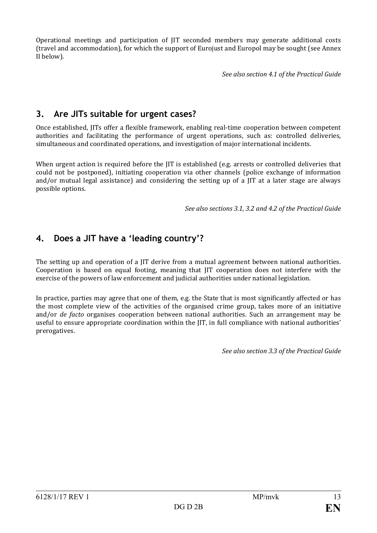Operational meetings and participation of JIT seconded members may generate additional costs (travel and accommodation), for which the support of Eurojust and Europol may be sought (see Annex II below).

*See also section 4.1 of the Practical Guide*

## **3. Are JITs suitable for urgent cases?**

Once established, JITs offer a flexible framework, enabling real-time cooperation between competent authorities and facilitating the performance of urgent operations, such as: controlled deliveries, simultaneous and coordinated operations, and investigation of major international incidents.

When urgent action is required before the JIT is established (e.g. arrests or controlled deliveries that could not be postponed), initiating cooperation via other channels (police exchange of information and/or mutual legal assistance) and considering the setting up of a JIT at a later stage are always possible options.

*See also sections 3.1, 3.2 and 4.2 of the Practical Guide* 

## **4. Does a JIT have a 'leading country'?**

The setting up and operation of a JIT derive from a mutual agreement between national authorities. Cooperation is based on equal footing, meaning that JIT cooperation does not interfere with the exercise of the powers of law enforcement and judicial authorities under national legislation.

In practice, parties may agree that one of them, e.g. the State that is most significantly affected or has the most complete view of the activities of the organised crime group, takes more of an initiative and/or *de facto* organises cooperation between national authorities. Such an arrangement may be useful to ensure appropriate coordination within the JIT, in full compliance with national authorities' prerogatives.

*See also section 3.3 of the Practical Guide*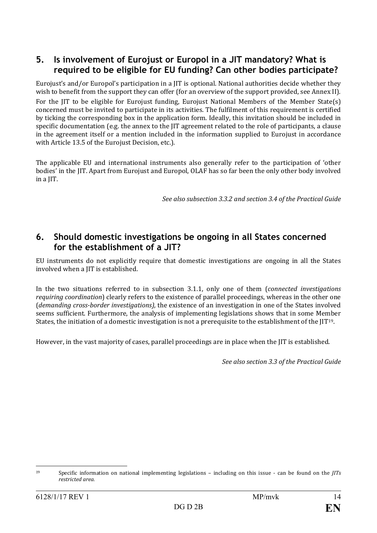## **5. Is involvement of Eurojust or Europol in a JIT mandatory? What is required to be eligible for EU funding? Can other bodies participate?**

Eurojust's and/or Europol's participation in a JIT is optional. National authorities decide whether they wish to benefit from the support they can offer (for an overview of the support provided, see Annex II). For the JIT to be eligible for Eurojust funding, Eurojust National Members of the Member State(s) concerned must be invited to participate in its activities. The fulfilment of this requirement is certified by ticking the corresponding box in the application form. Ideally, this invitation should be included in specific documentation (e.g. the annex to the JIT agreement related to the role of participants, a clause in the agreement itself or a mention included in the information supplied to Eurojust in accordance with Article 13.5 of the Eurojust Decision, etc.).

The applicable EU and international instruments also generally refer to the participation of 'other bodies' in the JIT. Apart from Eurojust and Europol, OLAF has so far been the only other body involved in a JIT.

*See also subsection 3.3.2 and section 3.4 of the Practical Guide* 

### **6. Should domestic investigations be ongoing in all States concerned for the establishment of a JIT?**

EU instruments do not explicitly require that domestic investigations are ongoing in all the States involved when a JIT is established.

In the two situations referred to in subsection 3.1.1, only one of them (*connected investigations requiring coordination*) clearly refers to the existence of parallel proceedings, whereas in the other one (*demanding cross-border investigations),* the existence of an investigation in one of the States involved seems sufficient. Furthermore, the analysis of implementing legislations shows that in some Member States, the initiation of a domestic investigation is not a prerequisite to the establishment of the JIT[19.](#page-14-0)

However, in the vast majority of cases, parallel proceedings are in place when the JIT is established.

*See also section 3.3 of the Practical Guide* 

<span id="page-14-0"></span> <sup>19</sup> Specific information on national implementing legislations – including on this issue - can be found on the *JITs restricted area.*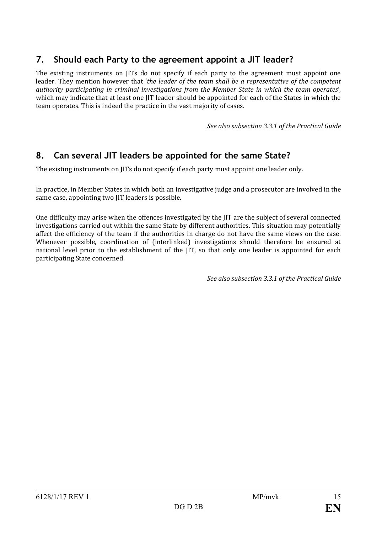## **7. Should each Party to the agreement appoint a JIT leader?**

The existing instruments on JITs do not specify if each party to the agreement must appoint one leader. They mention however that '*the leader of the team shall be a representative of the competent authority participating in criminal investigations from the Member State in which the team operates*', which may indicate that at least one JIT leader should be appointed for each of the States in which the team operates. This is indeed the practice in the vast majority of cases.

*See also subsection 3.3.1 of the Practical Guide*

## **8. Can several JIT leaders be appointed for the same State?**

The existing instruments on JITs do not specify if each party must appoint one leader only.

In practice, in Member States in which both an investigative judge and a prosecutor are involved in the same case, appointing two JIT leaders is possible.

One difficulty may arise when the offences investigated by the JIT are the subject of several connected investigations carried out within the same State by different authorities. This situation may potentially affect the efficiency of the team if the authorities in charge do not have the same views on the case. Whenever possible, coordination of (interlinked) investigations should therefore be ensured at national level prior to the establishment of the JIT, so that only one leader is appointed for each participating State concerned.

*See also subsection 3.3.1 of the Practical Guide*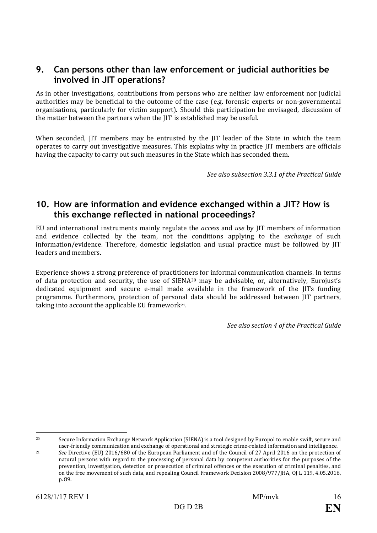### **9. Can persons other than law enforcement or judicial authorities be involved in JIT operations?**

As in other investigations, contributions from persons who are neither law enforcement nor judicial authorities may be beneficial to the outcome of the case (e.g. forensic experts or non-governmental organisations, particularly for victim support). Should this participation be envisaged, discussion of the matter between the partners when the JIT is established may be useful.

When seconded, JIT members may be entrusted by the JIT leader of the State in which the team operates to carry out investigative measures. This explains why in practice JIT members are officials having the capacity to carry out such measures in the State which has seconded them.

*See also subsection 3.3.1 of the Practical Guide* 

### **10. How are information and evidence exchanged within a JIT? How is this exchange reflected in national proceedings?**

EU and international instruments mainly regulate the *access* and *use* by JIT members of information and evidence collected by the team, not the conditions applying to the *exchange* of such information/evidence. Therefore, domestic legislation and usual practice must be followed by JIT leaders and members.

Experience shows a strong preference of practitioners for informal communication channels. In terms of data protection and security, the use of SIENA[20](#page-16-0) may be advisable, or, alternatively, Eurojust's dedicated equipment and secure e-mail made available in the framework of the JITs funding programme. Furthermore, protection of personal data should be addressed between JIT partners, taking into account the applicable EU framework[21.](#page-16-1)

*See also section 4 of the Practical Guide* 

<span id="page-16-0"></span> <sup>20</sup> Secure Information Exchange Network Application (SIENA) is a tool designed by Europol to enable swift, secure and user-friendly communication and exchange of operational and strategic crime-related information and intelligence.

<span id="page-16-1"></span><sup>21</sup> *See* Directive (EU) 2016/680 of the European Parliament and of the Council of 27 April 2016 on the protection of natural persons with regard to the processing of personal data by competent authorities for the purposes of the prevention, investigation, detection or prosecution of criminal offences or the execution of criminal penalties, and on the free movement of such data, and repealing Council Framework Decision 2008/977/JHA, OJ L 119, 4.05.2016, p. 89.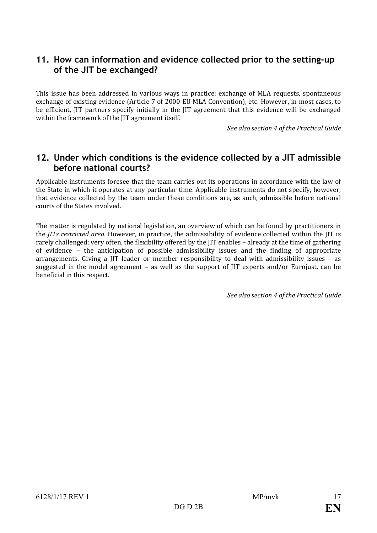## **11. How can information and evidence collected prior to the setting-up of the JIT be exchanged?**

This issue has been addressed in various ways in practice: exchange of MLA requests, spontaneous exchange of existing evidence (Article 7 of 2000 EU MLA Convention), etc. However, in most cases, to be efficient, JIT partners specify initially in the JIT agreement that this evidence will be exchanged within the framework of the JIT agreement itself.

*See also section 4 of the Practical Guide* 

### **12. Under which conditions is the evidence collected by a JIT admissible before national courts?**

Applicable instruments foresee that the team carries out its operations in accordance with the law of the State in which it operates at any particular time. Applicable instruments do not specify, however, that evidence collected by the team under these conditions are, as such, admissible before national courts of the States involved.

The matter is regulated by national legislation, an overview of which can be found by practitioners in the *JITs restricted area.* However, in practice, the admissibility of evidence collected within the JIT is rarely challenged: very often, the flexibility offered by the JIT enables – already at the time of gathering of evidence – the anticipation of possible admissibility issues and the finding of appropriate arrangements. Giving a JIT leader or member responsibility to deal with admissibility issues – as suggested in the model agreement – as well as the support of JIT experts and/or Eurojust, can be beneficial in this respect.

*See also section 4 of the Practical Guide*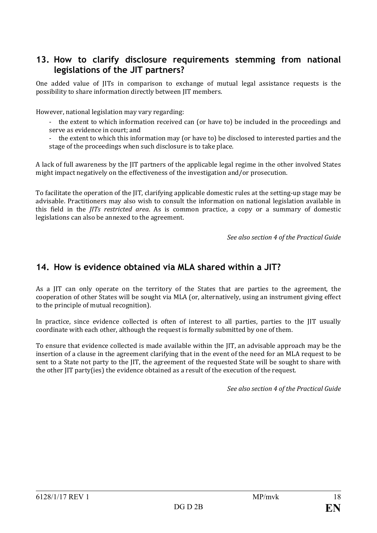### **13. How to clarify disclosure requirements stemming from national legislations of the JIT partners?**

One added value of JITs in comparison to exchange of mutual legal assistance requests is the possibility to share information directly between JIT members.

However, national legislation may vary regarding:

- the extent to which information received can (or have to) be included in the proceedings and serve as evidence in court; and

- the extent to which this information may (or have to) be disclosed to interested parties and the stage of the proceedings when such disclosure is to take place.

A lack of full awareness by the JIT partners of the applicable legal regime in the other involved States might impact negatively on the effectiveness of the investigation and/or prosecution.

To facilitate the operation of the JIT, clarifying applicable domestic rules at the setting-up stage may be advisable. Practitioners may also wish to consult the information on national legislation available in this field in the *JITs restricted area*. As is common practice, a copy or a summary of domestic legislations can also be annexed to the agreement.

*See also section 4 of the Practical Guide* 

### **14. How is evidence obtained via MLA shared within a JIT?**

As a JIT can only operate on the territory of the States that are parties to the agreement, the cooperation of other States will be sought via MLA (or, alternatively, using an instrument giving effect to the principle of mutual recognition).

In practice, since evidence collected is often of interest to all parties, parties to the JIT usually coordinate with each other, although the request is formally submitted by one of them.

To ensure that evidence collected is made available within the JIT, an advisable approach may be the insertion of a clause in the agreement clarifying that in the event of the need for an MLA request to be sent to a State not party to the JIT, the agreement of the requested State will be sought to share with the other JIT party(ies) the evidence obtained as a result of the execution of the request.

*See also section 4 of the Practical Guide*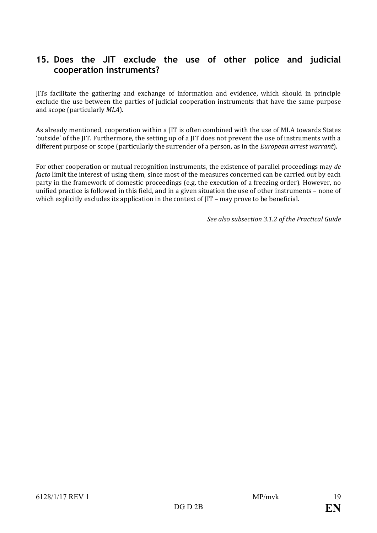## **15. Does the JIT exclude the use of other police and judicial cooperation instruments?**

JITs facilitate the gathering and exchange of information and evidence, which should in principle exclude the use between the parties of judicial cooperation instruments that have the same purpose and scope (particularly *MLA*).

As already mentioned, cooperation within a JIT is often combined with the use of MLA towards States 'outside' of the JIT. Furthermore, the setting up of a JIT does not prevent the use of instruments with a different purpose or scope (particularly the surrender of a person, as in the *European arrest warrant*).

For other cooperation or mutual recognition instruments, the existence of parallel proceedings may *de facto* limit the interest of using them, since most of the measures concerned can be carried out by each party in the framework of domestic proceedings (e.g. the execution of a freezing order). However, no unified practice is followed in this field, and in a given situation the use of other instruments – none of which explicitly excludes its application in the context of IIT – may prove to be beneficial.

*See also subsection 3.1.2 of the Practical Guide*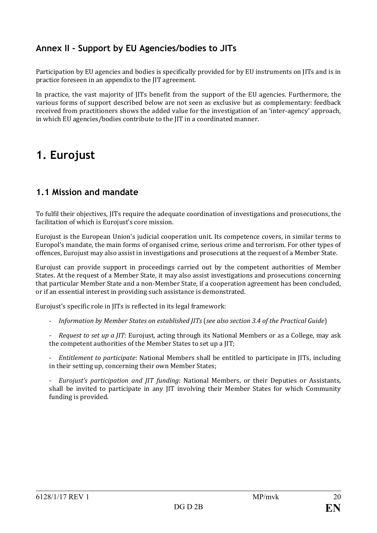## **Annex II - Support by EU Agencies/bodies to JITs**

Participation by EU agencies and bodies is specifically provided for by EU instruments on JITs and is in practice foreseen in an appendix to the JIT agreement.

In practice, the vast majority of JITs benefit from the support of the EU agencies. Furthermore, the various forms of support described below are not seen as exclusive but as complementary: feedback received from practitioners shows the added value for the investigation of an 'inter-agency' approach, in which EU agencies/bodies contribute to the JIT in a coordinated manner.

## **1. Eurojust**

## **1.1 Mission and mandate**

To fulfil their objectives, JITs require the adequate coordination of investigations and prosecutions, the facilitation of which is Eurojust's core mission.

Eurojust is the European Union's judicial cooperation unit. Its competence covers, in similar terms to Europol's mandate, the main forms of organised crime, serious crime and terrorism. For other types of offences, Eurojust may also assist in investigations and prosecutions at the request of a Member State.

Eurojust can provide support in proceedings carried out by the competent authorities of Member States. At the request of a Member State, it may also assist investigations and prosecutions concerning that particular Member State and a non-Member State, if a cooperation agreement has been concluded, or if an essential interest in providing such assistance is demonstrated.

Eurojust's specific role in JITs is reflected in its legal framework:

- *Information by Member States on established JITs* (*see also section 3.4 of the Practical Guide*)

- *Request to set up a JIT*: Eurojust, acting through its National Members or as a College, may ask the competent authorities of the Member States to set up a JIT;

- *Entitlement to participate*: National Members shall be entitled to participate in JITs, including in their setting up, concerning their own Member States;

- *Eurojust's participation and JIT funding*: National Members, or their Deputies or Assistants, shall be invited to participate in any JIT involving their Member States for which Community funding is provided.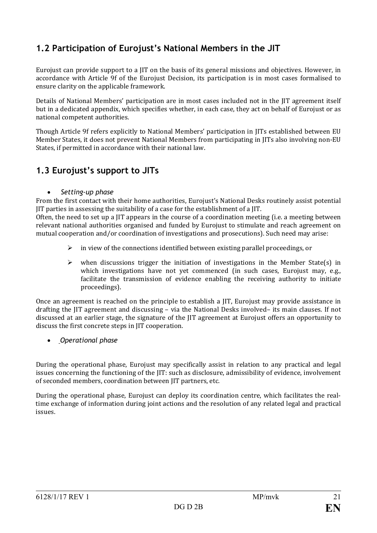## **1.2 Participation of Eurojust's National Members in the JIT**

Eurojust can provide support to a JIT on the basis of its general missions and objectives. However, in accordance with Article 9f of the Eurojust Decision, its participation is in most cases formalised to ensure clarity on the applicable framework.

Details of National Members' participation are in most cases included not in the JIT agreement itself but in a dedicated appendix, which specifies whether, in each case, they act on behalf of Eurojust or as national competent authorities.

Though Article 9f refers explicitly to National Members' participation in JITs established between EU Member States, it does not prevent National Members from participating in JITs also involving non-EU States, if permitted in accordance with their national law.

## **1.3 Eurojust's support to JITs**

• *Setting-up phase*

From the first contact with their home authorities, Eurojust's National Desks routinely assist potential JIT parties in assessing the suitability of a case for the establishment of a JIT.

Often, the need to set up a JIT appears in the course of a coordination meeting (i.e. a meeting between relevant national authorities organised and funded by Eurojust to stimulate and reach agreement on mutual cooperation and/or coordination of investigations and prosecutions). Such need may arise:

- $\triangleright$  in view of the connections identified between existing parallel proceedings, or
- $\triangleright$  when discussions trigger the initiation of investigations in the Member State(s) in which investigations have not yet commenced (in such cases, Eurojust may, e.g., facilitate the transmission of evidence enabling the receiving authority to initiate proceedings).

Once an agreement is reached on the principle to establish a JIT, Eurojust may provide assistance in drafting the JIT agreement and discussing – via the National Desks involved– its main clauses. If not discussed at an earlier stage, the signature of the JIT agreement at Eurojust offers an opportunity to discuss the first concrete steps in JIT cooperation.

• *Operational phase*

During the operational phase, Eurojust may specifically assist in relation to any practical and legal issues concerning the functioning of the JIT: such as disclosure, admissibility of evidence, involvement of seconded members, coordination between JIT partners, etc.

During the operational phase, Eurojust can deploy its coordination centre, which facilitates the realtime exchange of information during joint actions and the resolution of any related legal and practical issues.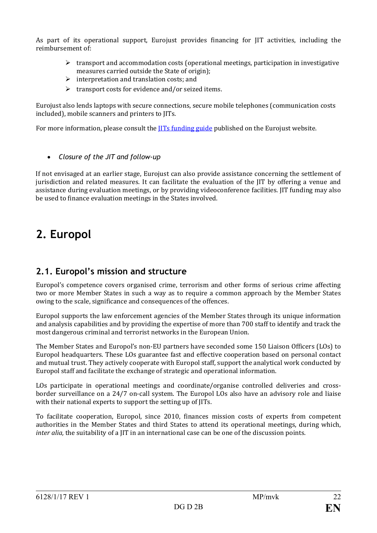As part of its operational support, Eurojust provides financing for JIT activities, including the reimbursement of:

- $\triangleright$  transport and accommodation costs (operational meetings, participation in investigative measures carried outside the State of origin);
- $\triangleright$  interpretation and translation costs; and
- $\triangleright$  transport costs for evidence and/or seized items.

Eurojust also lends laptops with secure connections, secure mobile telephones (communication costs included), mobile scanners and printers to JITs.

For more information, please consult the **IITs funding guide** published on the Eurojust website.

• *Closure of the JIT and follow-up*

If not envisaged at an earlier stage, Eurojust can also provide assistance concerning the settlement of jurisdiction and related measures. It can facilitate the evaluation of the JIT by offering a venue and assistance during evaluation meetings, or by providing videoconference facilities. JIT funding may also be used to finance evaluation meetings in the States involved.

## **2. Europol**

## **2.1. Europol's mission and structure**

Europol's competence covers organised crime, terrorism and other forms of serious crime affecting two or more Member States in such a way as to require a common approach by the Member States owing to the scale, significance and consequences of the offences.

Europol supports the law enforcement agencies of the Member States through its unique information and analysis capabilities and by providing the expertise of more than 700 staff to identify and track the most dangerous criminal and terrorist networks in the European Union.

The Member States and Europol's non-EU partners have seconded some 150 Liaison Officers (LOs) to Europol headquarters. These LOs guarantee fast and effective cooperation based on personal contact and mutual trust. They actively cooperate with Europol staff, support the analytical work conducted by Europol staff and facilitate the exchange of strategic and operational information.

LOs participate in operational meetings and coordinate/organise controlled deliveries and crossborder surveillance on a 24/7 on-call system. The Europol LOs also have an advisory role and liaise with their national experts to support the setting up of JITs.

To facilitate cooperation, Europol, since 2010, finances mission costs of experts from competent authorities in the Member States and third States to attend its operational meetings, during which, *inter alia*, the suitability of a JIT in an international case can be one of the discussion points.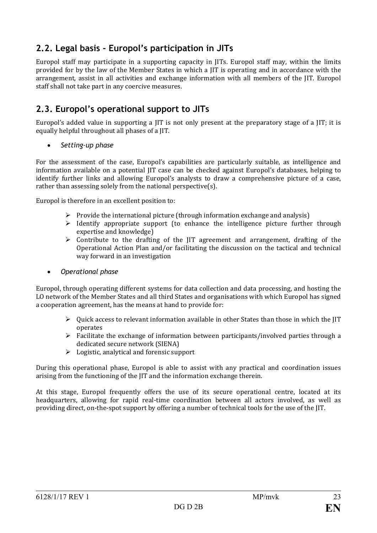## **2.2. Legal basis - Europol's participation in JITs**

Europol staff may participate in a supporting capacity in JITs. Europol staff may, within the limits provided for by the law of the Member States in which a JIT is operating and in accordance with the arrangement, assist in all activities and exchange information with all members of the JIT. Europol staff shall not take part in any coercive measures.

## **2.3. Europol's operational support to JITs**

Europol's added value in supporting a JIT is not only present at the preparatory stage of a JIT; it is equally helpful throughout all phases of a JIT.

• *Setting-up phase*

For the assessment of the case, Europol's capabilities are particularly suitable, as intelligence and information available on a potential JIT case can be checked against Europol's databases, helping to identify further links and allowing Europol's analysts to draw a comprehensive picture of a case, rather than assessing solely from the national perspective(s).

Europol is therefore in an excellent position to:

- $\triangleright$  Provide the international picture (through information exchange and analysis)
- $\triangleright$  Identify appropriate support (to enhance the intelligence picture further through expertise and knowledge)
- $\geq$  Contribute to the drafting of the IIT agreement and arrangement, drafting of the Operational Action Plan and/or facilitating the discussion on the tactical and technical way forward in an investigation
- *Operational phase*

Europol, through operating different systems for data collection and data processing, and hosting the LO network of the Member States and all third States and organisations with which Europol has signed a cooperation agreement, has the means at hand to provide for:

- $\triangleright$  Ouick access to relevant information available in other States than those in which the IIT operates
- $\triangleright$  Facilitate the exchange of information between participants/involved parties through a dedicated secure network (SIENA)
- $\triangleright$  Logistic, analytical and forensic support

During this operational phase, Europol is able to assist with any practical and coordination issues arising from the functioning of the JIT and the information exchange therein.

At this stage, Europol frequently offers the use of its secure operational centre, located at its headquarters, allowing for rapid real-time coordination between all actors involved, as well as providing direct, on-the-spot support by offering a number of technical tools for the use of the JIT.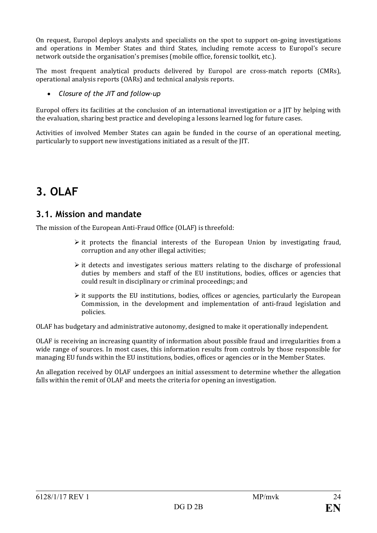On request, Europol deploys analysts and specialists on the spot to support on-going investigations and operations in Member States and third States, including remote access to Europol's secure network outside the organisation's premises (mobile office, forensic toolkit, etc.).

The most frequent analytical products delivered by Europol are cross-match reports (CMRs), operational analysis reports (OARs) and technical analysis reports.

#### • *Closure of the JIT and follow-up*

Europol offers its facilities at the conclusion of an international investigation or a JIT by helping with the evaluation, sharing best practice and developing a lessons learned log for future cases.

Activities of involved Member States can again be funded in the course of an operational meeting, particularly to support new investigations initiated as a result of the JIT.

## **3. OLAF**

## **3.1. Mission and mandate**

The mission of the European Anti-Fraud Office (OLAF) is threefold:

- $\triangleright$  it protects the financial interests of the European Union by investigating fraud, corruption and any other illegal activities;
- $\triangleright$  it detects and investigates serious matters relating to the discharge of professional duties by members and staff of the EU institutions, bodies, offices or agencies that could result in disciplinary or criminal proceedings; and
- $\triangleright$  it supports the EU institutions, bodies, offices or agencies, particularly the European Commission, in the development and implementation of anti-fraud legislation and policies.

OLAF has budgetary and administrative autonomy, designed to make it operationally independent.

OLAF is receiving an increasing quantity of information about possible fraud and irregularities from a wide range of sources. In most cases, this information results from controls by those responsible for managing EU funds within the EU institutions, bodies, offices or agencies or in the Member States.

An allegation received by OLAF undergoes an initial assessment to determine whether the allegation falls within the remit of OLAF and meets the criteria for opening an investigation.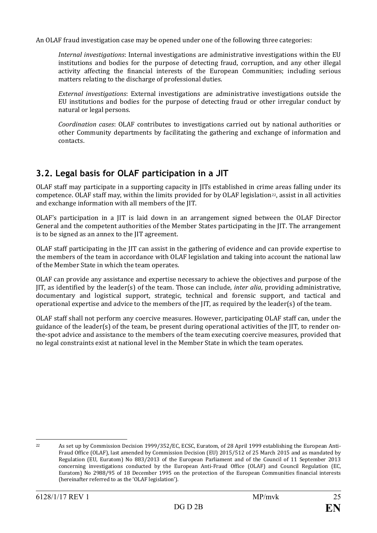An OLAF fraud investigation case may be opened under one of the following three categories:

*Internal investigations*: Internal investigations are administrative investigations within the EU institutions and bodies for the purpose of detecting fraud, corruption, and any other illegal activity affecting the financial interests of the European Communities; including serious matters relating to the discharge of professional duties.

*External investigations*: External investigations are administrative investigations outside the EU institutions and bodies for the purpose of detecting fraud or other irregular conduct by natural or legal persons.

*Coordination cases*: OLAF contributes to investigations carried out by national authorities or other Community departments by facilitating the gathering and exchange of information and contacts.

## **3.2. Legal basis for OLAF participation in a JIT**

OLAF staff may participate in a supporting capacity in JITs established in crime areas falling under its competence. OLAF staff may, within the limits provided for by OLAF legislation<sup>[22](#page-25-0)</sup>, assist in all activities and exchange information with all members of the JIT.

OLAF's participation in a JIT is laid down in an arrangement signed between the OLAF Director General and the competent authorities of the Member States participating in the JIT. The arrangement is to be signed as an annex to the JIT agreement.

OLAF staff participating in the JIT can assist in the gathering of evidence and can provide expertise to the members of the team in accordance with OLAF legislation and taking into account the national law of the Member State in which the team operates.

OLAF can provide any assistance and expertise necessary to achieve the objectives and purpose of the JIT, as identified by the leader(s) of the team. Those can include, *inter alia*, providing administrative, documentary and logistical support, strategic, technical and forensic support, and tactical and operational expertise and advice to the members of the JIT, as required by the leader(s) of the team.

OLAF staff shall not perform any coercive measures. However, participating OLAF staff can, under the guidance of the leader(s) of the team, be present during operational activities of the JIT, to render onthe-spot advice and assistance to the members of the team executing coercive measures, provided that no legal constraints exist at national level in the Member State in which the team operates.

<span id="page-25-0"></span>

 <sup>22</sup> As set up by Commission Decision 1999/352/EC, ECSC, Euratom, of 28 April 1999 establishing the European Anti-Fraud Office (OLAF), last amended by Commission Decision (EU) 2015/512 of 25 March 2015 and as mandated by Regulation (EU, Euratom) No 883/2013 of the European Parliament and of the Council of 11 September 2013 concerning investigations conducted by the European Anti-Fraud Office (OLAF) and Council Regulation (EC, Euratom) No 2988/95 of 18 December 1995 on the protection of the European Communities financial interests (hereinafter referred to as the 'OLAF legislation').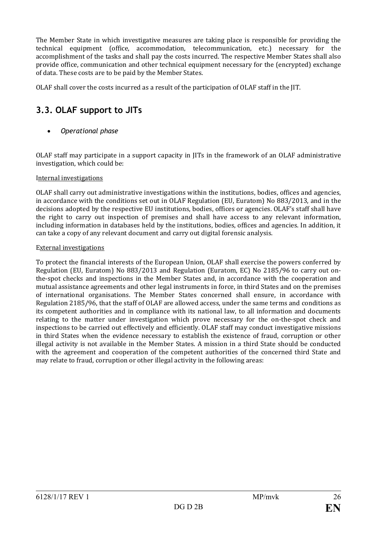The Member State in which investigative measures are taking place is responsible for providing the technical equipment (office, accommodation, telecommunication, etc.) necessary for the accomplishment of the tasks and shall pay the costs incurred. The respective Member States shall also provide office, communication and other technical equipment necessary for the (encrypted) exchange of data. These costs are to be paid by the Member States.

OLAF shall cover the costs incurred as a result of the participation of OLAF staff in the JIT.

## **3.3. OLAF support to JITs**

• *Operational phase*

OLAF staff may participate in a support capacity in JITs in the framework of an OLAF administrative investigation, which could be:

#### Internal investigations

OLAF shall carry out administrative investigations within the institutions, bodies, offices and agencies, in accordance with the conditions set out in OLAF Regulation (EU, Euratom) No 883/2013, and in the decisions adopted by the respective EU institutions, bodies, offices or agencies. OLAF's staff shall have the right to carry out inspection of premises and shall have access to any relevant information, including information in databases held by the institutions, bodies, offices and agencies. In addition, it can take a copy of any relevant document and carry out digital forensic analysis.

#### External investigations

To protect the financial interests of the European Union, OLAF shall exercise the powers conferred by Regulation (EU, Euratom) No 883/2013 and Regulation (Euratom, EC) No 2185/96 to carry out onthe-spot checks and inspections in the Member States and, in accordance with the cooperation and mutual assistance agreements and other legal instruments in force, in third States and on the premises of international organisations. The Member States concerned shall ensure, in accordance with Regulation 2185/96, that the staff of OLAF are allowed access, under the same terms and conditions as its competent authorities and in compliance with its national law, to all information and documents relating to the matter under investigation which prove necessary for the on-the-spot check and inspections to be carried out effectively and efficiently. OLAF staff may conduct investigative missions in third States when the evidence necessary to establish the existence of fraud, corruption or other illegal activity is not available in the Member States. A mission in a third State should be conducted with the agreement and cooperation of the competent authorities of the concerned third State and may relate to fraud, corruption or other illegal activity in the following areas: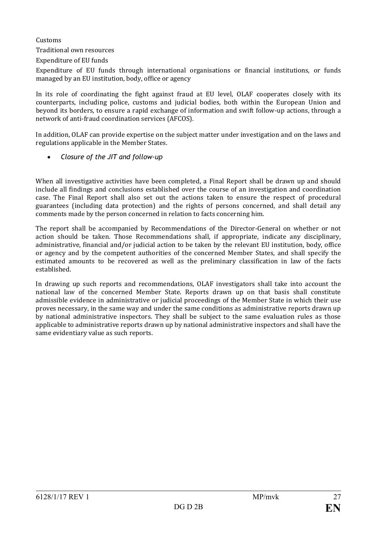Customs

Traditional own resources

Expenditure of EU funds

Expenditure of EU funds through international organisations or financial institutions, or funds managed by an EU institution, body, office or agency

In its role of coordinating the fight against fraud at EU level, OLAF cooperates closely with its counterparts, including police, customs and judicial bodies, both within the European Union and beyond its borders, to ensure a rapid exchange of information and swift follow-up actions, through a network of anti-fraud coordination services (AFCOS).

In addition, OLAF can provide expertise on the subject matter under investigation and on the laws and regulations applicable in the Member States.

• *Closure of the JIT and follow-up*

When all investigative activities have been completed, a Final Report shall be drawn up and should include all findings and conclusions established over the course of an investigation and coordination case. The Final Report shall also set out the actions taken to ensure the respect of procedural guarantees (including data protection) and the rights of persons concerned, and shall detail any comments made by the person concerned in relation to facts concerning him.

The report shall be accompanied by Recommendations of the Director-General on whether or not action should be taken. Those Recommendations shall, if appropriate, indicate any disciplinary, administrative, financial and/or judicial action to be taken by the relevant EU institution, body, office or agency and by the competent authorities of the concerned Member States, and shall specify the estimated amounts to be recovered as well as the preliminary classification in law of the facts established.

In drawing up such reports and recommendations, OLAF investigators shall take into account the national law of the concerned Member State. Reports drawn up on that basis shall constitute admissible evidence in administrative or judicial proceedings of the Member State in which their use proves necessary, in the same way and under the same conditions as administrative reports drawn up by national administrative inspectors. They shall be subject to the same evaluation rules as those applicable to administrative reports drawn up by national administrative inspectors and shall have the same evidentiary value as such reports.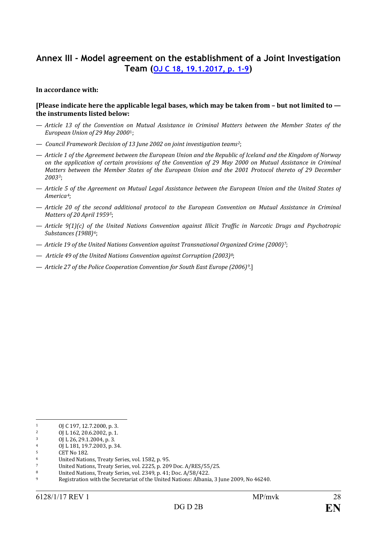## **Annex III - Model agreement on the establishment of a Joint Investigation Team (OJ C 18, [19.1.2017, p. 1–9\)](http://eur-lex.europa.eu/legal-content/EN/TXT/?uri=CELEX:32017G0119(01))**

#### **In accordance with:**

#### **[Please indicate here the applicable legal bases, which may be taken from – but not limited to the instruments listed below:**

- *Article 13 of the Convention o[n](#page-28-0) Mutual Assistance in Criminal Matters between the Member States of the European Union of 29 May 2000*1;
- *Council Framework Decision of 13 June 2002 on joint investigation teams[2](#page-28-1)*;
- *Article 1 of the Agreement between the European Union and the Republic of Iceland and the Kingdom of Norway on the application of certain provisions of the Convention of 29 May 2000 on Mutual Assistance in Criminal Matters between the Member States of the European Union and the 2001 Protocol thereto of 29 December 2003[3](#page-28-2)*;
- *Article 5 of the Agreement on Mutual Legal Assistance between the European Union and the United States of America[4](#page-28-3)*;
- *Article 20 of the second additional protocol to the European Convention on Mutual Assistance in Criminal Matters of 20 April 1959[5](#page-28-4)*;
- *Article 9(1)(c) of the United Nations Convention against Illicit Traffic in Narcotic Drugs and Psychotropic Substances (1988)[6](#page-28-5)*;
- *Article 19 of the United Nations Convention against Transnational Organized Crime (2000)[7](#page-28-6)*;
- *Article 49 of the United Nations Convention against Corruption (2003)[8](#page-28-7)*;
- *Article 27 of the Police Cooperation Convention for South East Europe (2006)[9](#page-28-8)*.]

<span id="page-28-0"></span> $1$  OJ C 197, 12.7.2000, p. 3.<br>2 OJ 162.206.2002 p. 1

<span id="page-28-1"></span><sup>&</sup>lt;sup>2</sup> OJ L 162, 20.6.2002, p. 1.<br><sup>3</sup> OJ L 26 29 1 2004 n 3

<span id="page-28-2"></span> $\frac{3}{4}$  OJ L 26, 29.1.2004, p. 3.

<span id="page-28-3"></span> $^{4}$  OJ L 181, 19.7.2003, p. 34.

<span id="page-28-4"></span><sup>5</sup> CET No 182.

<span id="page-28-5"></span><sup>6</sup> United Nations, Treaty Series, vol. 1582, p. 95.

<span id="page-28-6"></span><sup>7</sup> United Nations, Treaty Series, vol. 2225, p. 209 Doc. A/RES/55/25.<br><sup>8</sup> United Nations. Treaty Series, vol. 2349, p. 41: Doc. A/58/422.

<span id="page-28-7"></span><sup>8</sup> United Nations, Treaty Series, vol. 2349, p. 41; Doc. A/58/422.

<span id="page-28-8"></span><sup>9</sup> Registration with the Secretariat of the United Nations: Albania, 3 June 2009, No 46240.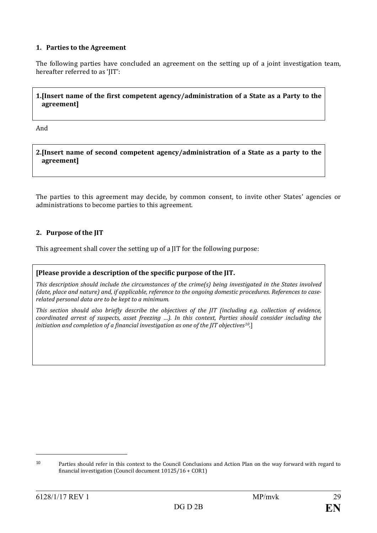#### **1. Parties to the Agreement**

The following parties have concluded an agreement on the setting up of a joint investigation team, hereafter referred to as 'JIT':

#### **1.[Insert name of the first competent agency/administration of a State as a Party to the agreement]**

And

**2.[Insert name of second competent agency/administration of a State as a party to the agreement]**

The parties to this agreement may decide, by common consent, to invite other States' agencies or administrations to become parties to this agreement.

#### **2. Purpose of the JIT**

This agreement shall cover the setting up of a JIT for the following purpose:

#### **[Please provide a description of the specific purpose of the JIT.**

*This description should include the circumstances of the crime(s) being investigated in the States involved (date, place and nature) and, if applicable, reference to the ongoing domestic procedures. References to caserelated personal data are to be kept to a minimum.*

*This section should also briefly describe the objectives of the JIT (including e.g. collection of evidence, coordinated arrest of suspects, asset freezing …). In this context, Parties should consider including the initiation and completion of a financial investigation as one of the JIT objectives[10](#page-29-0)*.]

j

<span id="page-29-0"></span><sup>10</sup> Parties should refer in this context to the Council Conclusions and Action Plan on the way forward with regard to financial investigation (Council document 10125/16 + COR1)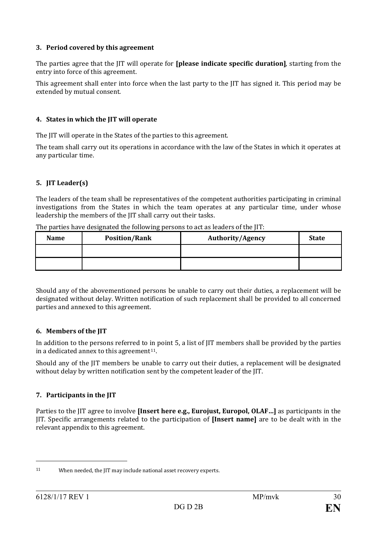#### **3. Period covered by this agreement**

The parties agree that the JIT will operate for **[please indicate specific duration]**, starting from the entry into force of this agreement.

This agreement shall enter into force when the last party to the JIT has signed it. This period may be extended by mutual consent.

#### **4. States in which the JIT will operate**

The JIT will operate in the States of the parties to this agreement.

The team shall carry out its operations in accordance with the law of the States in which it operates at any particular time.

#### **5. JIT Leader(s)**

The leaders of the team shall be representatives of the competent authorities participating in criminal investigations from the States in which the team operates at any particular time, under whose leadership the members of the JIT shall carry out their tasks.

| <b>Name</b> | <b>Position/Rank</b> | <b>Authority/Agency</b> | <b>State</b> |
|-------------|----------------------|-------------------------|--------------|
|             |                      |                         |              |
|             |                      |                         |              |

The parties have designated the following persons to act as leaders of the JIT:

Should any of the abovementioned persons be unable to carry out their duties, a replacement will be designated without delay. Written notification of such replacement shall be provided to all concerned parties and annexed to this agreement.

#### **6. Members of the JIT**

In addition to the persons referred to in point 5, a list of JIT members shall be provided by the parties in a dedicated annex to this agreement<sup>[11](#page-30-0)</sup>.

Should any of the JIT members be unable to carry out their duties, a replacement will be designated without delay by written notification sent by the competent leader of the JIT.

#### **7. Participants in the JIT**

Parties to the JIT agree to involve **[Insert here e.g., Eurojust, Europol, OLAF…]** as participants in the JIT. Specific arrangements related to the participation of **[Insert name]** are to be dealt with in the relevant appendix to this agreement.

j

<span id="page-30-0"></span><sup>11</sup> When needed, the JIT may include national asset recovery experts.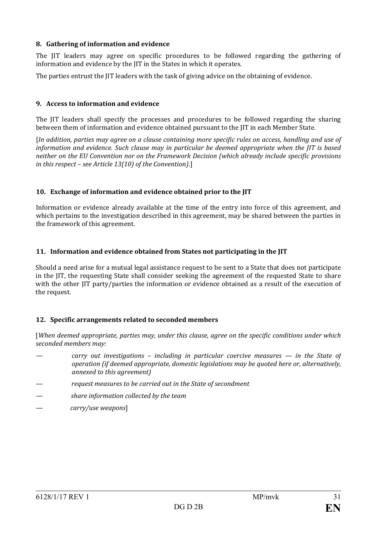#### **8. Gathering of information and evidence**

The JIT leaders may agree on specific procedures to be followed regarding the gathering of information and evidence by the JIT in the States in which it operates.

The parties entrust the JIT leaders with the task of giving advice on the obtaining of evidence.

#### **9. Access to information and evidence**

The JIT leaders shall specify the processes and procedures to be followed regarding the sharing between them of information and evidence obtained pursuant to the JIT in each Member State.

[*In addition, parties may agree on a clause containing more specific rules on access, handling and use of information and evidence. Such clause may in particular be deemed appropriate when the JIT is based neither on the EU Convention nor on the Framework Decision (which already include specific provisions in this respect – see Article 13(10) of the Convention)*.]

#### **10. Exchange of information and evidence obtained prior to the JIT**

Information or evidence already available at the time of the entry into force of this agreement, and which pertains to the investigation described in this agreement, may be shared between the parties in the framework of this agreement.

#### **11. Information and evidence obtained from States not participating in the JIT**

Should a need arise for a mutual legal assistance request to be sent to a State that does not participate in the JIT, the requesting State shall consider seeking the agreement of the requested State to share with the other JIT party/parties the information or evidence obtained as a result of the execution of the request.

#### **12. Specific arrangements related to seconded members**

[*When deemed appropriate, parties may, under this clause, agree on the specific conditions under which seconded members may:*

- *carry out investigations – including in particular coercive measures — in the State of operation (if deemed appropriate, domestic legislations may be quoted here or, alternatively, annexed to this agreement)*
- *request measures to be carried out in the State of secondment*
- *share information collected by the team*
- *carry/use weapons*]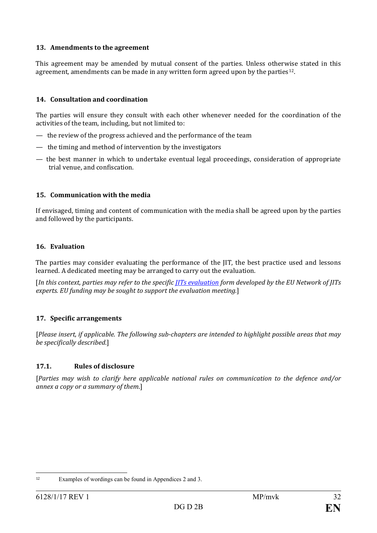#### **13. Amendments to the agreement**

This agreement may be amended by mutual consent of the parties. Unless otherwise stated in this agreement, amendments can be made in any written form agreed upon by the parties<sup>[12](#page-32-0)</sup>.

#### **14. Consultation and coordination**

The parties will ensure they consult with each other whenever needed for the coordination of the activities of the team, including, but not limited to:

- the review of the progress achieved and the performance of the team
- the timing and method of intervention by the investigators
- the best manner in which to undertake eventual legal proceedings, consideration of appropriate trial venue, and confiscation.

#### **15. Communication with the media**

If envisaged, timing and content of communication with the media shall be agreed upon by the parties and followed by the participants.

#### **16. Evaluation**

The parties may consider evaluating the performance of the JIT, the best practice used and lessons learned. A dedicated meeting may be arranged to carry out the evaluation.

[*In this context, parties may refer to the specific [JITs evaluation](http://www.eurojust.europa.eu/doclibrary/JITs/JITsevaluation/JIT%20Evaluation%20Form/JIT-Evaluation-Form_EN.pdf) form developed by the EU Network of JITs experts. EU funding may be sought to support the evaluation meeting.*]

#### **17. Specific arrangements**

[*Please insert, if applicable. The following sub-chapters are intended to highlight possible areas that may be specifically described*.]

#### **17.1. Rules of disclosure**

[*Parties may wish to clarify here applicable national rules on communication to the defence and/or annex a copy or a summary of them*.]

<span id="page-32-0"></span> <sup>12</sup> Examples of wordings can be found in Appendices 2 and 3.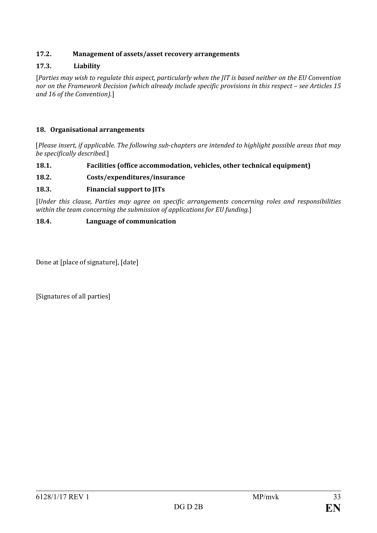#### **17.2. Management of assets/asset recovery arrangements**

#### **17.3. Liability**

[*Parties may wish to regulate this aspect, particularly when the JIT is based neither on the EU Convention nor on the Framework Decision (which already include specific provisions in this respect – see Articles 15 and 16 of the Convention)*.]

#### **18. Organisational arrangements**

[*Please insert, if applicable. The following sub-chapters are intended to highlight possible areas that may be specifically described*.]

#### **18.1. Facilities (office accommodation, vehicles, other technical equipment)**

#### **18.2. Costs/expenditures/insurance**

#### **18.3. Financial support to JITs**

[*Under this clause, Parties may agree on specific arrangements concerning roles and responsibilities within the team concerning the submission of applications for EU funding.*]

#### **18.4. Language of communication**

Done at [place of signature], [date]

[Signatures of all parties]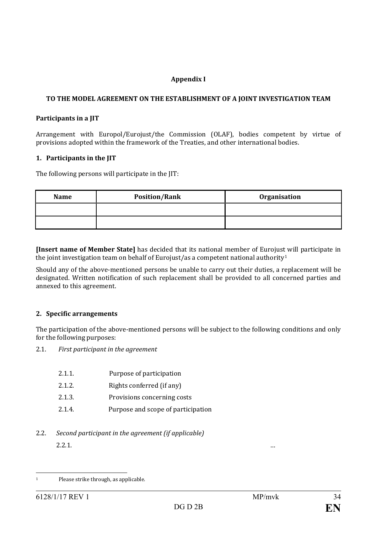#### **Appendix I**

#### **TO THE MODEL AGREEMENT ON THE ESTABLISHMENT OF A JOINT INVESTIGATION TEAM**

#### **Participants in a JIT**

Arrangement with Europol/Eurojust/the Commission (OLAF), bodies competent by virtue of provisions adopted within the framework of the Treaties, and other international bodies.

#### **1. Participants in the JIT**

The following persons will participate in the JIT:

| Name | <b>Position/Rank</b> | <b>Organisation</b> |
|------|----------------------|---------------------|
|      |                      |                     |
|      |                      |                     |

**[Insert name of Member State]** has decided that its national member of Eurojus[t](#page-34-0) will participate in the joint investigation team on behalf of Eurojust/as a competent national authority<sup>1</sup>

Should any of the above-mentioned persons be unable to carry out their duties, a replacement will be designated. Written notification of such replacement shall be provided to all concerned parties and annexed to this agreement.

#### **2. Specific arrangements**

The participation of the above-mentioned persons will be subject to the following conditions and only for the following purposes:

2.1. *First participant in the agreement*

- 2.1.1. Purpose of participation
- 2.1.2. Rights conferred (if any)
- 2.1.3. Provisions concerning costs
- 2.1.4. Purpose and scope of participation
- 2.2. *Second participant in the agreement (if applicable)* 2.2.1. …

<span id="page-34-0"></span> <sup>1</sup> Please strike through, as applicable.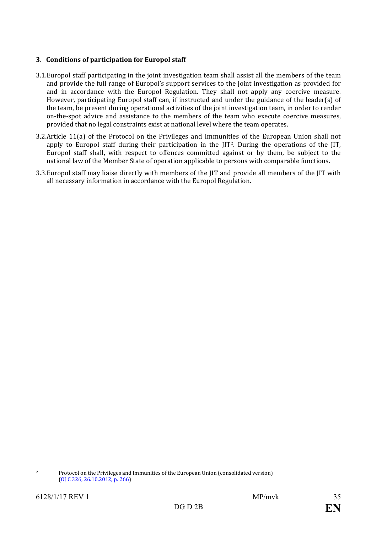#### **3. Conditions of participation for Europol staff**

- 3.1.Europol staff participating in the joint investigation team shall assist all the members of the team and provide the full range of Europol's support services to the joint investigation as provided for and in accordance with the Europol Regulation. They shall not apply any coercive measure. However, participating Europol staff can, if instructed and under the guidance of the leader(s) of the team, be present during operational activities of the joint investigation team, in order to render on-the-spot advice and assistance to the members of the team who execute coercive measures, provided that no legal constraints exist at national level where the team operates.
- 3.2.Article 11(a) of the Protocol on the Privileges and Immunities of the European Union shall not apply to Europol staff during their participation in the JIT<sup>2</sup>. During the operations of the JIT, Europol staff shall, with respect to offences committed against or by them, be subject to the national law of the Member State of operation applicable to persons with comparable functions.
- 3.3.Europol staff may liaise directly with members of the JIT and provide all members of the JIT with all necessary information in accordance with the Europol Regulation.

<span id="page-35-0"></span> <sup>2</sup> Protocol on the Privileges and Immunities of the European Union (consolidated version) [\(OJ C 326, 26.10.2012, p. 266\)](http://eur-lex.europa.eu/legal-content/EN/AUTO/?uri=OJ:C:2012:326:TOC)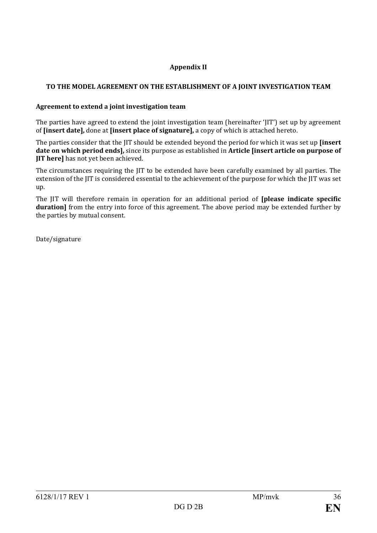#### **Appendix II**

#### **TO THE MODEL AGREEMENT ON THE ESTABLISHMENT OF A JOINT INVESTIGATION TEAM**

#### **Agreement to extend a joint investigation team**

The parties have agreed to extend the joint investigation team (hereinafter 'JIT') set up by agreement of **[insert date],** done at **[insert place of signature],** a copy of which is attached hereto.

The parties consider that the JIT should be extended beyond the period for which it was set up **[insert date on which period ends],** since its purpose as established in **Article [insert article on purpose of JIT here]** has not yet been achieved.

The circumstances requiring the JIT to be extended have been carefully examined by all parties. The extension of the JIT is considered essential to the achievement of the purpose for which the JIT was set up.

The JIT will therefore remain in operation for an additional period of **[please indicate specific duration**] from the entry into force of this agreement. The above period may be extended further by the parties by mutual consent.

Date/signature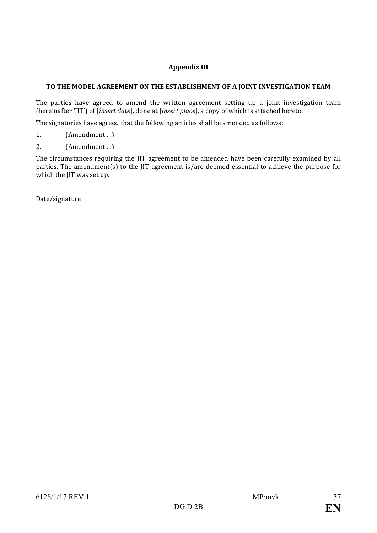#### **Appendix III**

#### **TO THE MODEL AGREEMENT ON THE ESTABLISHMENT OF A JOINT INVESTIGATION TEAM**

The parties have agreed to amend the written agreement setting up a joint investigation team (hereinafter 'JIT') of [*insert date*], done at [*insert place*], a copy of which is attached hereto.

The signatories have agreed that the following articles shall be amended as follows:

- 1. (Amendment …)
- 2. (Amendment …)

The circumstances requiring the JIT agreement to be amended have been carefully examined by all parties. The amendment(s) to the JIT agreement is/are deemed essential to achieve the purpose for which the JIT was set up.

Date/signature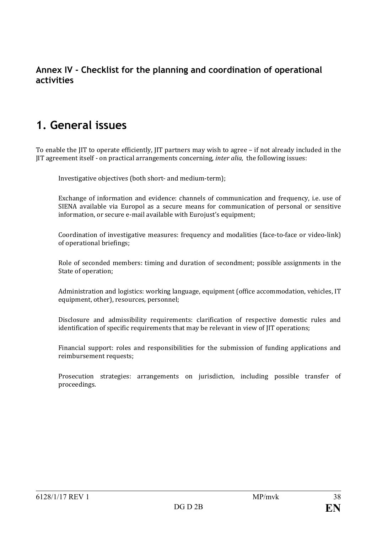## **Annex IV - Checklist for the planning and coordination of operational activities**

## **1. General issues**

To enable the JIT to operate efficiently, JIT partners may wish to agree – if not already included in the JIT agreement itself - on practical arrangements concerning, *inter alia,* the following issues:

Investigative objectives (both short- and medium-term);

Exchange of information and evidence: channels of communication and frequency, i.e. use of SIENA available via Europol as a secure means for communication of personal or sensitive information, or secure e-mail available with Eurojust's equipment;

Coordination of investigative measures: frequency and modalities (face-to-face or video-link) of operational briefings;

Role of seconded members: timing and duration of secondment; possible assignments in the State of operation;

Administration and logistics: working language, equipment (office accommodation, vehicles, IT equipment, other), resources, personnel;

Disclosure and admissibility requirements: clarification of respective domestic rules and identification of specific requirements that may be relevant in view of JIT operations;

Financial support: roles and responsibilities for the submission of funding applications and reimbursement requests;

Prosecution strategies: arrangements on jurisdiction, including possible transfer of proceedings.